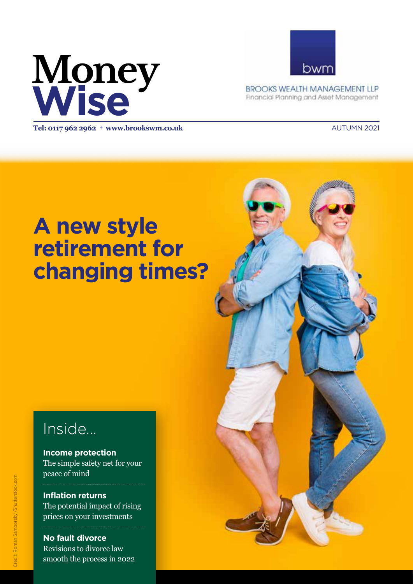# **Money Wise**



**BROOKS WEALTH MANAGEMENT LLP** Financial Planning and Asset Management

**Tel: 0117 962 2962** <sup>l</sup> **www.brookswm.co.uk** AUTUMN 2021

## **A new style retirement for changing times?**

## Inside...

**Income protection** The simple safety net for your peace of mind

**Inflation returns** The potential impact of rising prices on your investments

**No fault divorce** Revisions to divorce law smooth the process in 2022

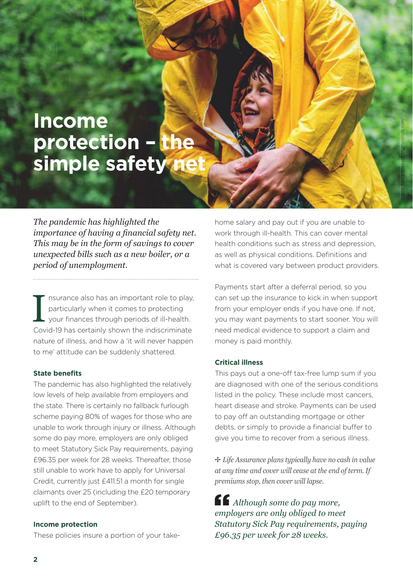## **Income protection – the**  simple safety ne

*The pandemic has highlighted the importance of having a financial safety net. This may be in the form of savings to cover unexpected bills such as a new boiler, or a period of unemployment.* 

I nsurance also has an important role to play,<br>particularly when it comes to protecting<br>your finances through periods of ill-health.<br>Covid-19 has certainly shown the indiscriminate nsurance also has an important role to play, particularly when it comes to protecting your finances through periods of ill-health. nature of illness, and how a 'it will never happen to me' attitude can be suddenly shattered.

#### **State benefits**

The pandemic has also highlighted the relatively low levels of help available from employers and the state. There is certainly no fallback furlough scheme paying 80% of wages for those who are unable to work through injury or illness. Although some do pay more, employers are only obliged to meet Statutory Sick Pay requirements, paying £96.35 per week for 28 weeks. Thereafter, those still unable to work have to apply for Universal Credit, currently just £411.51 a month for single claimants over 25 (including the £20 temporary uplift to the end of September).

### **Income protection**

These policies insure a portion of your take-

home salary and pay out if you are unable to work through ill-health. This can cover mental health conditions such as stress and depression, as well as physical conditions. Definitions and what is covered vary between product providers. Credit: Stock Rocket/ Shutterstock.com

Payments start after a deferral period, so you can set up the insurance to kick in when support from your employer ends if you have one. If not, you may want payments to start sooner. You will need medical evidence to support a claim and money is paid monthly.

#### **Critical illness**

This pays out a one-off tax-free lump sum if you are diagnosed with one of the serious conditions listed in the policy. These include most cancers, heart disease and stroke. Payments can be used to pay off an outstanding mortgage or other debts, or simply to provide a financial buffer to give you time to recover from a serious illness.

✢ *Life Assurance plans typically have no cash in value at any time and cover will cease at the end of term. If premiums stop, then cover will lapse.* 

*Although some do pay more, employers are only obliged to meet Statutory Sick Pay requirements, paying £96.35 per week for 28 weeks.*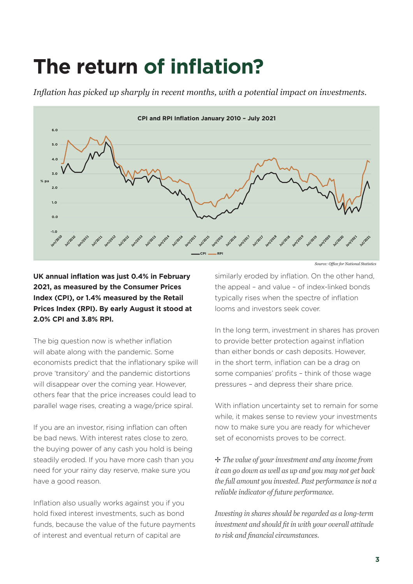## **The return of inflation?**

*Inflation has picked up sharply in recent months, with a potential impact on investments.* 



**UK annual inflation was just 0.4% in February 2021, as measured by the Consumer Prices Index (CPI), or 1.4% measured by the Retail Prices Index (RPI). By early August it stood at 2.0% CPI and 3.8% RPI.** 

The big question now is whether inflation will abate along with the pandemic. Some economists predict that the inflationary spike will prove 'transitory' and the pandemic distortions will disappear over the coming year. However, others fear that the price increases could lead to parallel wage rises, creating a wage/price spiral.

If you are an investor, rising inflation can often be bad news. With interest rates close to zero, the buying power of any cash you hold is being steadily eroded. If you have more cash than you need for your rainy day reserve, make sure you have a good reason.

Inflation also usually works against you if you hold fixed interest investments, such as bond funds, because the value of the future payments of interest and eventual return of capital are

similarly eroded by inflation. On the other hand, the appeal – and value – of index-linked bonds typically rises when the spectre of inflation looms and investors seek cover.

In the long term, investment in shares has proven to provide better protection against inflation than either bonds or cash deposits. However, in the short term, inflation can be a drag on some companies' profits - think of those wage pressures – and depress their share price.

With inflation uncertainty set to remain for some while, it makes sense to review your investments now to make sure you are ready for whichever set of economists proves to be correct.

✢ *The value of your investment and any income from it can go down as well as up and you may not get back the full amount you invested. Past performance is not a reliable indicator of future performance.* 

*Investing in shares should be regarded as a long-term investment and should fit in with your overall attitude*  $to$  risk and financial circumstances.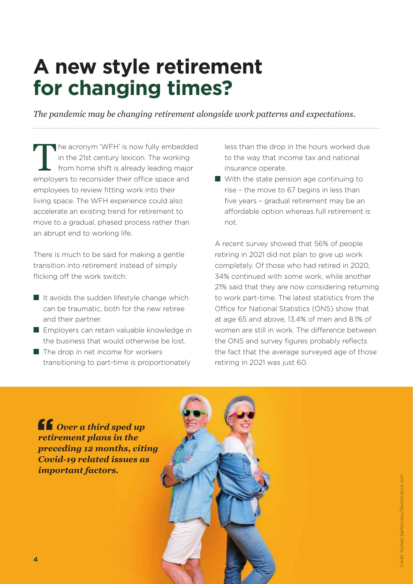## **A new style retirement for changing times?**

*The pandemic may be changing retirement alongside work patterns and expectations.*

he acronym 'WFH' is now fully embedded in the 21st century lexicon. The working from home shift is already leading major employers to reconsider their office space and employees to review fitting work into their living space. The WFH experience could also accelerate an existing trend for retirement to move to a gradual, phased process rather than an abrupt end to working life.

There is much to be said for making a gentle transition into retirement instead of simply flicking off the work switch:

- It avoids the sudden lifestyle change which can be traumatic, both for the new retiree and their partner.
- Employers can retain valuable knowledge in the business that would otherwise be lost.
- The drop in net income for workers transitioning to part-time is proportionately

less than the drop in the hours worked due to the way that income tax and national insurance operate.

■ With the state pension age continuing to rise – the move to 67 begins in less than five years - gradual retirement may be an affordable option whereas full retirement is not.

A recent survey showed that 56% of people retiring in 2021 did not plan to give up work completely. Of those who had retired in 2020, 34% continued with some work, while another 21% said that they are now considering returning to work part-time. The latest statistics from the Office for National Statistics (ONS) show that at age 65 and above, 13.4% of men and 8.1% of women are still in work. The difference between the ONS and survey figures probably reflects the fact that the average surveyed age of those retiring in 2021 was just 60.

*Over a third sped up retirement plans in the preceding 12 months, citing Covid-19 related issues as important factors.*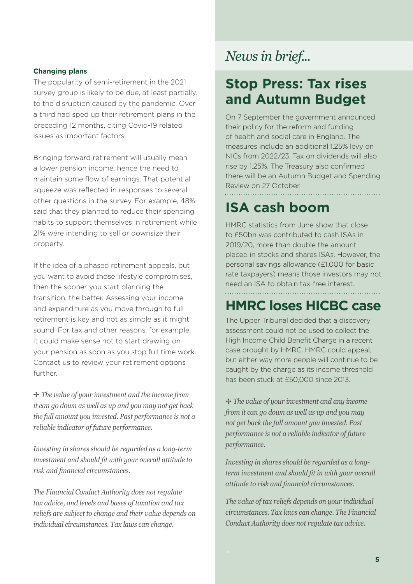### **Changing plans**

The popularity of semi-retirement in the 2021 survey group is likely to be due, at least partially, to the disruption caused by the pandemic. Over a third had sped up their retirement plans in the preceding 12 months, citing Covid-19 related issues as important factors.

Bringing forward retirement will usually mean a lower pension income, hence the need to maintain some flow of earnings. That potential squeeze was reflected in responses to several other questions in the survey. For example, 48% said that they planned to reduce their spending habits to support themselves in retirement while 21% were intending to sell or downsize their property.

If the idea of a phased retirement appeals, but you want to avoid those lifestyle compromises, then the sooner you start planning the transition, the better. Assessing your income and expenditure as you move through to full retirement is key and not as simple as it might sound. For tax and other reasons, for example, it could make sense not to start drawing on your pension as soon as you stop full time work. Contact us to review your retirement options further.

✢ *The value of your investment and the income from it can go down as well as up and you may not get back the full amount you invested. Past performance is not a reliable indicator of future performance.* 

*Investing in shares should be regarded as a long-term investment and should fi t with your overall attitude to*   $risk$  *and financial circumstances.* 

*The Financial Conduct Authority does not regulate tax advice, and levels and bases of taxation and tax reliefs are subject to change and their value depends on individual circumstances. Tax laws can change.*

### *News in brief...*

### **Stop Press: Tax rises and Autumn Budget**

On 7 September the government announced their policy for the reform and funding of health and social care in England. The measures include an additional 1.25% levy on NICs from 2022/23. Tax on dividends will also rise by 1.25%. The Treasury also confirmed there will be an Autumn Budget and Spending Review on 27 October.

### **ISA cash boom**

HMRC statistics from June show that close to £50bn was contributed to cash ISAs in 2019/20, more than double the amount placed in stocks and shares ISAs. However, the personal savings allowance (£1,000 for basic rate taxpayers) means those investors may not need an ISA to obtain tax-free interest.

### **HMRC loses HICBC case**

The Upper Tribunal decided that a discovery assessment could not be used to collect the High Income Child Benefit Charge in a recent case brought by HMRC. HMRC could appeal, but either way more people will continue to be caught by the charge as its income threshold has been stuck at £50,000 since 2013.

✢ *The value of your investment and any income from it can go down as well as up and you may not get back the full amount you invested. Past performance is not a reliable indicator of future performance.*

*Investing in shares should be regarded as a longterm investment and should fit in with your overall attitude to risk and fi nancial circumstances.* 

 $T$  ci<br>C<br> $\in$ *The value of tax reliefs depends on your individual circumstances. Tax laws can change. The Financial Conduct Authority does not regulate tax advice.*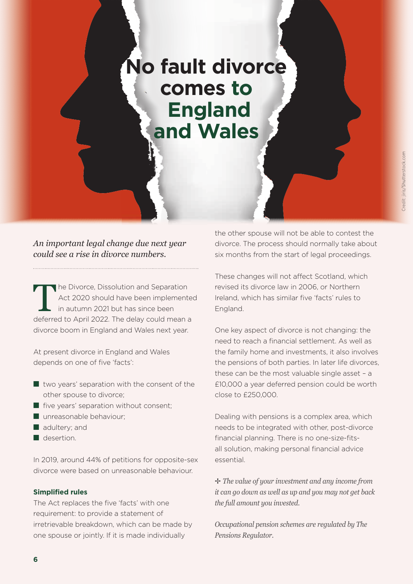## **No fault divorce comes to England and Wales**

*An important legal change due next year could see a rise in divorce numbers.* 

he Divorce, Dissolution and Separation Act 2020 should have been implemented in autumn 2021 but has since been deferred to April 2022. The delay could mean a divorce boom in England and Wales next year.

At present divorce in England and Wales depends on one of five 'facts':

- two years' separation with the consent of the other spouse to divorce;
- five years' separation without consent;
- unreasonable behaviour;
- adultery; and
- desertion.

In 2019, around 44% of petitions for opposite-sex divorce were based on unreasonable behaviour.

#### **Simplified rules**

The Act replaces the five 'facts' with one requirement: to provide a statement of irretrievable breakdown, which can be made by one spouse or jointly. If it is made individually

the other spouse will not be able to contest the divorce. The process should normally take about six months from the start of legal proceedings.

These changes will not affect Scotland, which revised its divorce law in 2006, or Northern Ireland, which has similar five 'facts' rules to England.

One key aspect of divorce is not changing: the need to reach a financial settlement. As well as the family home and investments, it also involves the pensions of both parties. In later life divorces, these can be the most valuable single asset – a £10,000 a year deferred pension could be worth close to £250,000.

Dealing with pensions is a complex area, which needs to be integrated with other, post-divorce financial planning. There is no one-size-fitsall solution, making personal financial advice essential.

✢ *The value of your investment and any income from it can go down as well as up and you may not get back the full amount you invested.* 

*Occupational pension schemes are regulated by The Pensions Regulator.*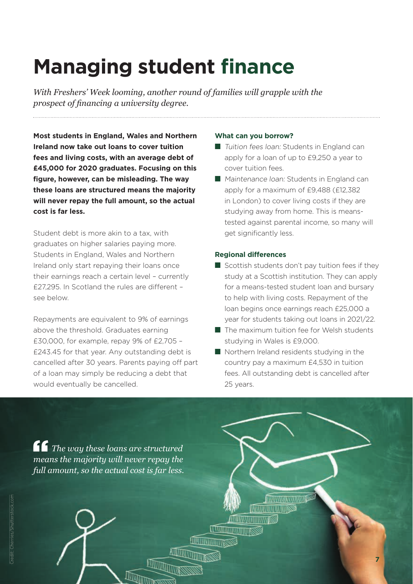## **Managing student finance**

*With Freshers' Week looming, another round of families will grapple with the prospect of financing a university degree.* 

**Most students in England, Wales and Northern Ireland now take out loans to cover tuition fees and living costs, with an average debt of £45,000 for 2020 graduates. Focusing on this fi gure, however, can be misleading. The way these loans are structured means the majority will never repay the full amount, so the actual cost is far less.** 

Student debt is more akin to a tax, with graduates on higher salaries paying more. Students in England, Wales and Northern Ireland only start repaying their loans once their earnings reach a certain level – currently £27,295. In Scotland the rules are different see below.

Repayments are equivalent to 9% of earnings above the threshold. Graduates earning £30,000, for example, repay 9% of £2,705 – £243.45 for that year. Any outstanding debt is cancelled after 30 years. Parents paying off part of a loan may simply be reducing a debt that would eventually be cancelled.

#### **What can you borrow?**

- Tuition fees loan: Students in England can apply for a loan of up to £9,250 a year to cover tuition fees.
- Maintenance Ioan: Students in England can apply for a maximum of £9,488 (£12,382 in London) to cover living costs if they are studying away from home. This is meanstested against parental income, so many will get significantly less.

### **Regional differences**

- Scottish students don't pay tuition fees if they study at a Scottish institution. They can apply for a means-tested student loan and bursary to help with living costs. Repayment of the loan begins once earnings reach £25,000 a year for students taking out loans in 2021/22.
- The maximum tuition fee for Welsh students studying in Wales is £9,000.
- Northern Ireland residents studying in the country pay a maximum £4,530 in tuition fees. All outstanding debt is cancelled after 25 years.

**INTELLIGINAL CENTRALI MATHAMATICAL INDIASS** 

**TWINTTITTITTITTING** 

**TWIND ANTITALITY ISS** 

*The way these loans are structured means the majority will never repay the full amount, so the actual cost is far less.*

**A**